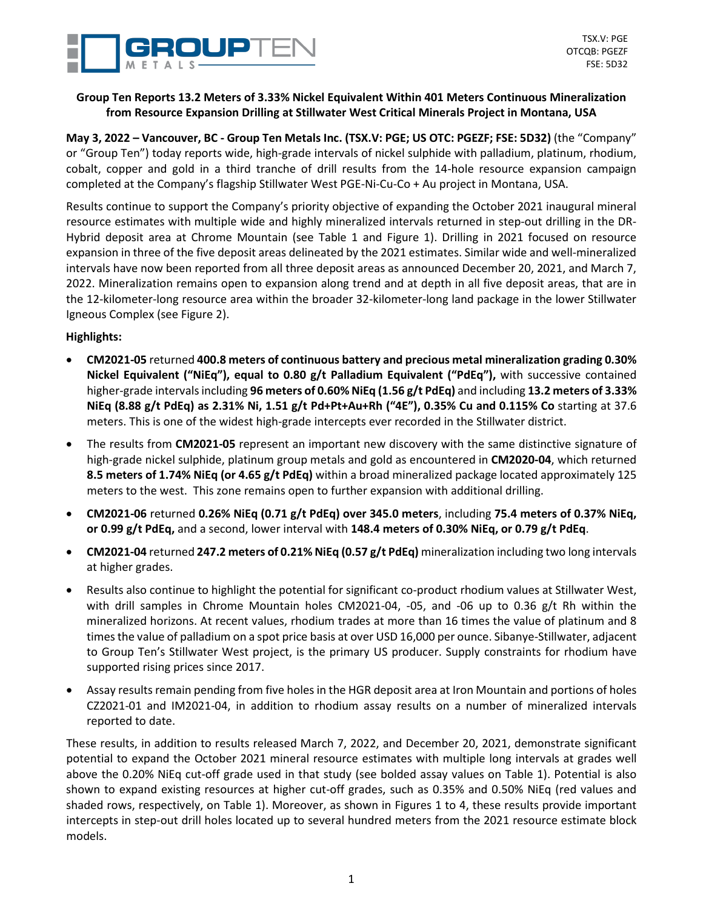

# **Group Ten Reports 13.2 Meters of 3.33% Nickel Equivalent Within 401 Meters Continuous Mineralization from Resource Expansion Drilling at Stillwater West Critical Minerals Project in Montana, USA**

**May 3, 2022 – Vancouver, BC - Group Ten Metals Inc. (TSX.V: PGE; US OTC: PGEZF; FSE: 5D32)** (the "Company" or "Group Ten") today reports wide, high-grade intervals of nickel sulphide with palladium, platinum, rhodium, cobalt, copper and gold in a third tranche of drill results from the 14-hole resource expansion campaign completed at the Company's flagship Stillwater West PGE-Ni-Cu-Co + Au project in Montana, USA.

Results continue to support the Company's priority objective of expanding the October 2021 inaugural mineral resource estimates with multiple wide and highly mineralized intervals returned in step-out drilling in the DR-Hybrid deposit area at Chrome Mountain (see Table 1 and Figure 1). Drilling in 2021 focused on resource expansion in three of the five deposit areas delineated by the 2021 estimates. Similar wide and well-mineralized intervals have now been reported from all three deposit areas as announced December 20, 2021, and March 7, 2022. Mineralization remains open to expansion along trend and at depth in all five deposit areas, that are in the 12-kilometer-long resource area within the broader 32-kilometer-long land package in the lower Stillwater Igneous Complex (see Figure 2).

# **Highlights:**

- **CM2021-05** returned **400.8 meters of continuous battery and precious metal mineralization grading 0.30% Nickel Equivalent ("NiEq"), equal to 0.80 g/t Palladium Equivalent ("PdEq"),** with successive contained higher-grade intervalsincluding **96 meters of 0.60% NiEq (1.56 g/t PdEq)** and including **13.2 meters of 3.33% NiEq (8.88 g/t PdEq) as 2.31% Ni, 1.51 g/t Pd+Pt+Au+Rh ("4E"), 0.35% Cu and 0.115% Co** starting at 37.6 meters. This is one of the widest high-grade intercepts ever recorded in the Stillwater district.
- The results from **CM2021-05** represent an important new discovery with the same distinctive signature of high-grade nickel sulphide, platinum group metals and gold as encountered in **CM2020-04**, which returned **8.5 meters of 1.74% NiEq (or 4.65 g/t PdEq)** within a broad mineralized package located approximately 125 meters to the west. This zone remains open to further expansion with additional drilling.
- **CM2021-06** returned **0.26% NiEq (0.71 g/t PdEq) over 345.0 meters**, including **75.4 meters of 0.37% NiEq, or 0.99 g/t PdEq,** and a second, lower interval with **148.4 meters of 0.30% NiEq, or 0.79 g/t PdEq**.
- **CM2021-04** returned **247.2 meters of 0.21% NiEq (0.57 g/t PdEq)** mineralization including two long intervals at higher grades.
- Results also continue to highlight the potential for significant co-product rhodium values at Stillwater West, with drill samples in Chrome Mountain holes CM2021-04, -05, and -06 up to 0.36 g/t Rh within the mineralized horizons. At recent values, rhodium trades at more than 16 times the value of platinum and 8 times the value of palladium on a spot price basis at over USD 16,000 per ounce. Sibanye-Stillwater, adjacent to Group Ten's Stillwater West project, is the primary US producer. Supply constraints for rhodium have supported rising prices since 2017.
- Assay results remain pending from five holes in the HGR deposit area at Iron Mountain and portions of holes CZ2021-01 and IM2021-04, in addition to rhodium assay results on a number of mineralized intervals reported to date.

These results, in addition to results released March 7, 2022, and December 20, 2021, demonstrate significant potential to expand the October 2021 mineral resource estimates with multiple long intervals at grades well above the 0.20% NiEq cut-off grade used in that study (see bolded assay values on Table 1). Potential is also shown to expand existing resources at higher cut-off grades, such as 0.35% and 0.50% NiEq (red values and shaded rows, respectively, on Table 1). Moreover, as shown in Figures 1 to 4, these results provide important intercepts in step-out drill holes located up to several hundred meters from the 2021 resource estimate block models.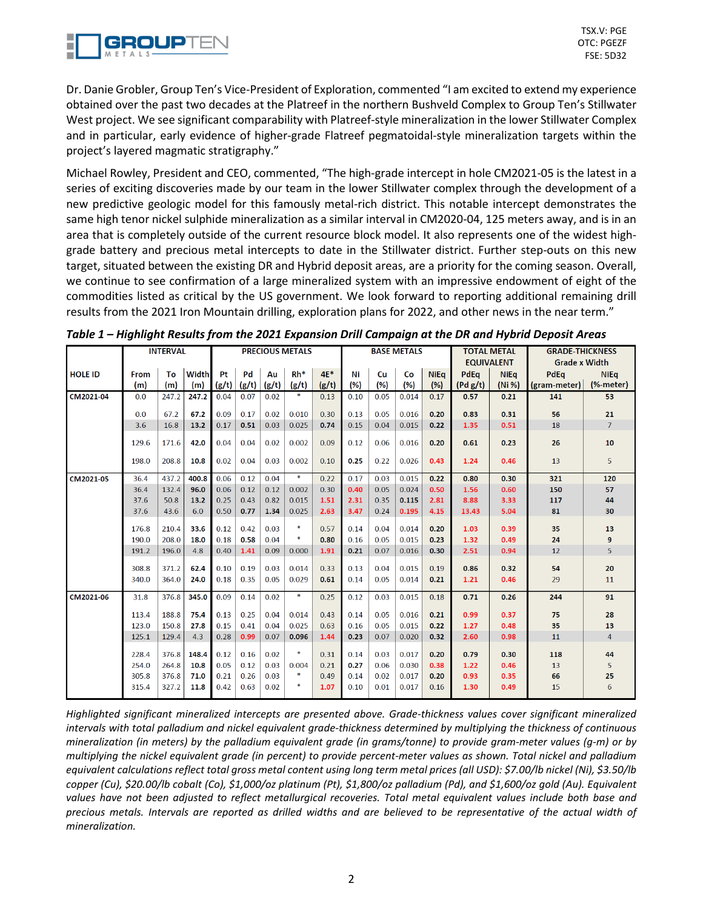

Dr. Danie Grobler, Group Ten's Vice-President of Exploration, commented "I am excited to extend my experience obtained over the past two decades at the Platreef in the northern Bushveld Complex to Group Ten's Stillwater West project. We see significant comparability with Platreef-style mineralization in the lower Stillwater Complex and in particular, early evidence of higher-grade Flatreef pegmatoidal-style mineralization targets within the project's layered magmatic stratigraphy."

Michael Rowley, President and CEO, commented, "The high-grade intercept in hole CM2021-05 is the latest in a series of exciting discoveries made by our team in the lower Stillwater complex through the development of a new predictive geologic model for this famously metal-rich district. This notable intercept demonstrates the same high tenor nickel sulphide mineralization as a similar interval in CM2020-04, 125 meters away, and is in an area that is completely outside of the current resource block model. It also represents one of the widest highgrade battery and precious metal intercepts to date in the Stillwater district. Further step-outs on this new target, situated between the existing DR and Hybrid deposit areas, are a priority for the coming season. Overall, we continue to see confirmation of a large mineralized system with an impressive endowment of eight of the commodities listed as critical by the US government. We look forward to reporting additional remaining drill results from the 2021 Iron Mountain drilling, exploration plans for 2022, and other news in the near term."

|                | <b>INTERVAL</b> |       |       | <b>PRECIOUS METALS</b> |       |       |               | <b>BASE METALS</b> |      |      | <b>TOTAL METAL</b> |                   | <b>GRADE-THICKNESS</b> |                      |              |                |
|----------------|-----------------|-------|-------|------------------------|-------|-------|---------------|--------------------|------|------|--------------------|-------------------|------------------------|----------------------|--------------|----------------|
|                |                 |       |       |                        |       |       |               |                    |      |      |                    | <b>EQUIVALENT</b> |                        | <b>Grade x Width</b> |              |                |
| <b>HOLE ID</b> | From            | To    | Width | Pt                     | Pd    | Au    | $Rh*$         | 4E*                | Ni   | Cu   | Co                 | <b>NiEa</b>       | PdEa                   | <b>NiEa</b>          | PdEa         | <b>NiEa</b>    |
|                | (m)             | (m)   | (m)   | (g/t)                  | (g/t) | (g/t) | (g/t)         | (g/t)              | (%)  | (% ) | (% )               | (% )              | (Pd g/t)               | (Ni %)               | (gram-meter) | (%-meter)      |
| CM2021-04      | 0.0             | 247.2 | 247.2 | 0.04                   | 0.07  | 0.02  | 未             | 0.13               | 0.10 | 0.05 | 0.014              | 0.17              | 0.57                   | 0.21                 | 141          | 53             |
|                | 0.0             | 67.2  | 67.2  | 0.09                   | 0.17  | 0.02  | 0.010         | 0.30               | 0.13 | 0.05 | 0.016              | 0.20              | 0.83                   | 0.31                 | 56           | 21             |
|                | 3.6             | 16.8  | 13.2  | 0.17                   | 0.51  | 0.03  | 0.025         | 0.74               | 0.15 | 0.04 | 0.015              | 0.22              | 1.35                   | 0.51                 | 18           | $\overline{7}$ |
|                |                 |       |       |                        |       |       |               |                    |      |      |                    |                   |                        |                      |              |                |
|                | 129.6           | 171.6 | 42.0  | 0.04                   | 0.04  | 0.02  | 0.002         | 0.09               | 0.12 | 0.06 | 0.016              | 0.20              | 0.61                   | 0.23                 | 26           | 10             |
|                |                 |       |       |                        |       |       |               |                    |      |      |                    |                   |                        |                      |              |                |
|                | 198.0           | 208.8 | 10.8  | 0.02                   | 0.04  | 0.03  | 0.002         | 0.10               | 0.25 | 0.22 | 0.026              | 0.43              | 1.24                   | 0.46                 | 13           | 5              |
| CM2021-05      | 36.4            | 437.2 | 400.8 | 0.06                   | 0.12  | 0.04  | $\ast$        | 0.22               | 0.17 | 0.03 | 0.015              | 0.22              | 0.80                   | 0.30                 | 321          | 120            |
|                | 36.4            | 132.4 | 96.0  | 0.06                   | 0.12  | 0.12  | 0.002         | 0.30               | 0.40 | 0.05 | 0.024              | 0.50              | 1.56                   | 0.60                 | 150          | 57             |
|                | 37.6            | 50.8  | 13.2  | 0.25                   | 0.43  | 0.82  | 0.015         | 1.51               | 2.31 | 0.35 | 0.115              | 2.81              | 8.88                   | 3.33                 | 117          | 44             |
|                | 37.6            | 43.6  | 6.0   | 0.50                   | 0.77  | 1.34  | 0.025         | 2.63               | 3.47 | 0.24 | 0.195              | 4.15              | 13.43                  | 5.04                 | 81           | 30             |
|                | 176.8           | 210.4 | 33.6  | 0.12                   | 0.42  | 0.03  | 未             | 0.57               | 0.14 | 0.04 | 0.014              | 0.20              | 1.03                   | 0.39                 | 35           | 13             |
|                | 190.0           | 208.0 | 18.0  | 0.18                   | 0.58  | 0.04  | *             | 0.80               | 0.16 | 0.05 | 0.015              | 0.23              | 1.32                   | 0.49                 | 24           | 9              |
|                | 191.2           | 196.0 | 4.8   | 0.40                   | 1.41  | 0.09  | 0.000         | 1.91               | 0.21 | 0.07 | 0.016              | 0.30              | 2.51                   | 0.94                 | 12           | 5              |
|                |                 |       |       |                        |       |       |               |                    |      |      |                    |                   |                        |                      |              |                |
|                | 308.8           | 371.2 | 62.4  | 0.10                   | 0.19  | 0.03  | 0.014         | 0.33               | 0.13 | 0.04 | 0.015              | 0.19              | 0.86                   | 0.32                 | 54           | 20             |
|                | 340.0           | 364.0 | 24.0  | 0.18                   | 0.35  | 0.05  | 0.029         | 0.61               | 0.14 | 0.05 | 0.014              | 0.21              | 1.21                   | 0.46                 | 29           | 11             |
| CM2021-06      | 31.8            | 376.8 | 345.0 | 0.09                   | 0.14  | 0.02  | 米             | 0.25               | 0.12 | 0.03 | 0.015              | 0.18              | 0.71                   | 0.26                 | 244          | 91             |
|                |                 |       |       |                        |       |       |               |                    |      |      |                    |                   |                        |                      |              |                |
|                | 113.4           | 188.8 | 75.4  | 0.13                   | 0.25  | 0.04  | 0.014         | 0.43               | 0.14 | 0.05 | 0.016              | 0.21              | 0.99                   | 0.37                 | 75           | 28             |
|                | 123.0           | 150.8 | 27.8  | 0.15                   | 0.41  | 0.04  | 0.025         | 0.63               | 0.16 | 0.05 | 0.015              | 0.22              | 1.27                   | 0.48                 | 35           | 13             |
|                | 125.1           | 129.4 | 4.3   | 0.28                   | 0.99  | 0.07  | 0.096         | 1.44               | 0.23 | 0.07 | 0.020              | 0.32              | 2.60                   | 0.98                 | 11           | $\overline{4}$ |
|                | 228.4           | 376.8 | 148.4 | 0.12                   | 0.16  | 0.02  | $\frac{1}{2}$ | 0.31               | 0.14 | 0.03 | 0.017              | 0.20              | 0.79                   | 0.30                 | 118          | 44             |
|                | 254.0           | 264.8 | 10.8  | 0.05                   | 0.12  | 0.03  | 0.004         | 0.21               | 0.27 | 0.06 | 0.030              | 0.38              | 1.22                   | 0.46                 | 13           | 5              |
|                | 305.8           | 376.8 | 71.0  | 0.21                   | 0.26  | 0.03  | $\frac{1}{2}$ | 0.49               | 0.14 | 0.02 | 0.017              | 0.20              | 0.93                   | 0.35                 | 66           | 25             |
|                | 315.4           | 327.2 | 11.8  | 0.42                   | 0.63  | 0.02  | $\ast$        | 1.07               | 0.10 | 0.01 | 0.017              | 0.16              | 1.30                   | 0.49                 | 15           | 6              |
|                |                 |       |       |                        |       |       |               |                    |      |      |                    |                   |                        |                      |              |                |

|  |  |  |  | Table 1 – Highlight Results from the 2021 Expansion Drill Campaign at the DR and Hybrid Deposit Areas |  |  |  |
|--|--|--|--|-------------------------------------------------------------------------------------------------------|--|--|--|
|--|--|--|--|-------------------------------------------------------------------------------------------------------|--|--|--|

*Highlighted significant mineralized intercepts are presented above. Grade-thickness values cover significant mineralized intervals with total palladium and nickel equivalent grade-thickness determined by multiplying the thickness of continuous mineralization (in meters) by the palladium equivalent grade (in grams/tonne) to provide gram-meter values (g-m) or by multiplying the nickel equivalent grade (in percent) to provide percent-meter values as shown. Total nickel and palladium equivalent calculations reflect total gross metal content using long term metal prices (all USD): \$7.00/lb nickel (Ni), \$3.50/lb copper (Cu), \$20.00/lb cobalt (Co), \$1,000/oz platinum (Pt), \$1,800/oz palladium (Pd), and \$1,600/oz gold (Au). Equivalent values have not been adjusted to reflect metallurgical recoveries. Total metal equivalent values include both base and precious metals. Intervals are reported as drilled widths and are believed to be representative of the actual width of mineralization.*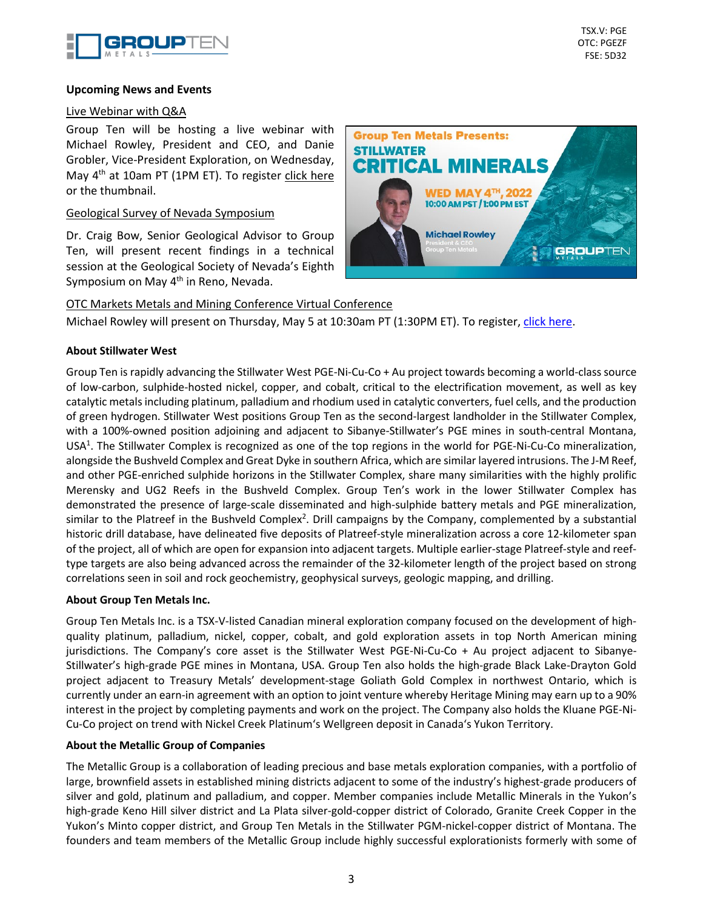

TSX.V: PGE OTC: PGEZF FSE: 5D32

## **Upcoming News and Events**

## Live Webinar with Q&A

Group Ten will be hosting a live webinar with Michael Rowley, President and CEO, and Danie Grobler, Vice-President Exploration, on Wednesday, May  $4<sup>th</sup>$  at 10am PT (1PM ET). To register click [here](https://us02web.zoom.us/webinar/register/WN_JXD0T_zbTRy-zszjnulEmA) or the thumbnail.

## Geological Survey of Nevada Symposium

Dr. Craig Bow, Senior Geological Advisor to Group Ten, will present recent findings in a technical session at the Geological Society of Nevada's Eighth Symposium on May 4<sup>th</sup> in Reno, Nevada.



# OTC Markets Metals and Mining Conference Virtual Conference

Michael Rowley will present on Thursday, May 5 at 10:30am PT (1:30PM ET). To register, click [here.](https://www.virtualinvestorconferences.com/events/event-details/metals-mining-virtual-investor-conference-6)

### **About Stillwater West**

Group Ten is rapidly advancing the Stillwater West PGE-Ni-Cu-Co + Au project towards becoming a world-class source of low-carbon, sulphide-hosted nickel, copper, and cobalt, critical to the electrification movement, as well as key catalytic metals including platinum, palladium and rhodium used in catalytic converters, fuel cells, and the production of green hydrogen. Stillwater West positions Group Ten as the second-largest landholder in the Stillwater Complex, with a 100%-owned position adjoining and adjacent to Sibanye-Stillwater's PGE mines in south-central Montana, USA1. The Stillwater Complex is recognized as one of the top regions in the world for PGE-Ni-Cu-Co mineralization, alongside the Bushveld Complex and Great Dyke in southern Africa, which are similar layered intrusions. The J-M Reef, and other PGE-enriched sulphide horizons in the Stillwater Complex, share many similarities with the highly prolific Merensky and UG2 Reefs in the Bushveld Complex. Group Ten's work in the lower Stillwater Complex has demonstrated the presence of large-scale disseminated and high-sulphide battery metals and PGE mineralization, similar to the Platreef in the Bushveld Complex<sup>2</sup>. Drill campaigns by the Company, complemented by a substantial historic drill database, have delineated five deposits of Platreef-style mineralization across a core 12-kilometer span of the project, all of which are open for expansion into adjacent targets. Multiple earlier-stage Platreef-style and reeftype targets are also being advanced across the remainder of the 32-kilometer length of the project based on strong correlations seen in soil and rock geochemistry, geophysical surveys, geologic mapping, and drilling.

### **About Group Ten Metals Inc.**

Group Ten Metals Inc. is a TSX-V-listed Canadian mineral exploration company focused on the development of highquality platinum, palladium, nickel, copper, cobalt, and gold exploration assets in top North American mining jurisdictions. The Company's core asset is the Stillwater West PGE-Ni-Cu-Co + Au project adjacent to Sibanye-Stillwater's high-grade PGE mines in Montana, USA. Group Ten also holds the high-grade Black Lake-Drayton Gold project adjacent to Treasury Metals' development-stage Goliath Gold Complex in northwest Ontario, which is currently under an earn-in agreement with an option to joint venture whereby Heritage Mining may earn up to a 90% interest in the project by completing payments and work on the project. The Company also holds the Kluane PGE-Ni-Cu-Co project on trend with Nickel Creek Platinum's Wellgreen deposit in Canada's Yukon Territory.

### **About the Metallic Group of Companies**

The Metallic Group is a collaboration of leading precious and base metals exploration companies, with a portfolio of large, brownfield assets in established mining districts adjacent to some of the industry's highest-grade producers of silver and gold, platinum and palladium, and copper. Member companies include Metallic Minerals in the Yukon's high-grade Keno Hill silver district and La Plata silver-gold-copper district of Colorado, Granite Creek Copper in the Yukon's Minto copper district, and Group Ten Metals in the Stillwater PGM-nickel-copper district of Montana. The founders and team members of the Metallic Group include highly successful explorationists formerly with some of